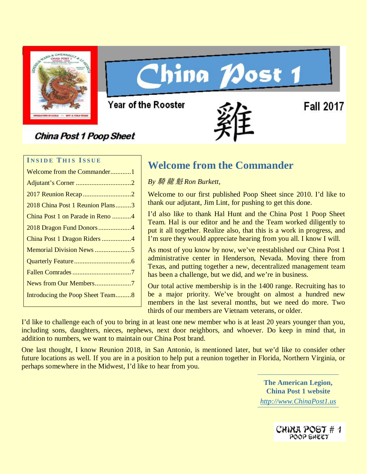

# **China Nost 1**

Year of the Rooster

# **China Post 1 Poop Sheet**

**Fall 2017** 

# **I NSIDE T HIS I SSUE**

| Welcome from the Commander1      |
|----------------------------------|
|                                  |
|                                  |
| 2018 China Post 1 Reunion Plans3 |
| China Post 1 on Parade in Reno 4 |
| 2018 Dragon Fund Donors4         |
| China Post 1 Dragon Riders 4     |
| Memorial Division News5          |
|                                  |
|                                  |
| News from Our Members7           |
| Introducing the Poop Sheet Team8 |
|                                  |

# **Welcome from the Commander**

*By* 騎 龍 魁 *Ron Burkett,*

Welcome to our first published Poop Sheet since 2010. I'd like to thank our adjutant, Jim Lint, for pushing to get this done.

I'd also like to thank Hal Hunt and the China Post 1 Poop Sheet Team. Hal is our editor and he and the Team worked diligently to put it all together. Realize also, that this is a work in progress, and I'm sure they would appreciate hearing from you all. I know I will.

As most of you know by now, we've reestablished our China Post 1 administrative center in Henderson, Nevada. Moving there from Texas, and putting together a new, decentralized management team has been a challenge, but we did, and we're in business.

Our total active membership is in the 1400 range. Recruiting has to be a major priority. We've brought on almost a hundred new members in the last several months, but we need do more. Two thirds of our members are Vietnam veterans, or older.

I'd like to challenge each of you to bring in at least one new member who is at least 20 years younger than you, including sons, daughters, nieces, nephews, next door neighbors, and whoever. Do keep in mind that, in addition to numbers, we want to maintain our China Post brand.

One last thought, I know Reunion 2018, in San Antonio, is mentioned later, but we'd like to consider other future locations as well. If you are in a position to help put a reunion together in Florida, Northern Virginia, or perhaps somewhere in the Midwest, I'd like to hear from you.

> **The American Legion, China Post 1 website** *[http://www.ChinaPost1.us](http://www.chinapost1.us/)*

> > CHINA POST # 1 POOP SHEET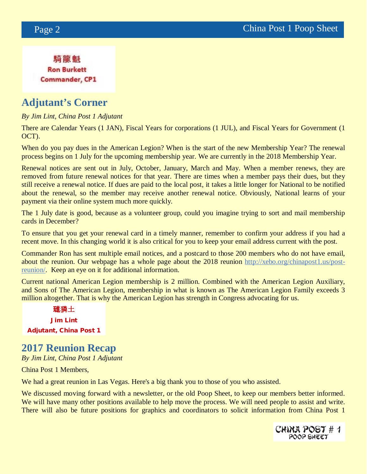騎龍魁 **Ron Burkett Commander, CP1** 

# **Adjutant's Corner**

# *By Jim Lint, China Post 1 Adjutant*

There are Calendar Years (1 JAN), Fiscal Years for corporations (1 JUL), and Fiscal Years for Government (1 OCT).

When do you pay dues in the American Legion? When is the start of the new Membership Year? The renewal process begins on 1 July for the upcoming membership year. We are currently in the 2018 Membership Year.

Renewal notices are sent out in July, October, January, March and May. When a member renews, they are removed from future renewal notices for that year. There are times when a member pays their dues, but they still receive a renewal notice. If dues are paid to the local post, it takes a little longer for National to be notified about the renewal, so the member may receive another renewal notice. Obviously, National learns of your payment via their online system much more quickly.

The 1 July date is good, because as a volunteer group, could you imagine trying to sort and mail membership cards in December?

To ensure that you get your renewal card in a timely manner, remember to confirm your address if you had a recent move. In this changing world it is also critical for you to keep your email address current with the post.

Commander Ron has sent multiple email notices, and a postcard to those 200 members who do not have email, about the reunion. Our webpage has a whole page about the 2018 reunion [http://xebo.org/chinapost1.us/post](http://xebo.org/chinapost1.us/post-reunion/)[reunion/.](http://xebo.org/chinapost1.us/post-reunion/) Keep an eye on it for additional information.

Current national American Legion membership is 2 million. Combined with the American Legion Auxiliary, and Sons of The American Legion, membership in what is known as The American Legion Family exceeds 3 million altogether. That is why the American Legion has strength in Congress advocating for us.

璡獜土 Jim Lint Adjutant, China Post 1

# **2017 Reunion Recap**

*By Jim Lint, China Post 1 Adjutant*

China Post 1 Members,

We had a great reunion in Las Vegas. Here's a big thank you to those of you who assisted.

We discussed moving forward with a newsletter, or the old Poop Sheet, to keep our members better informed. We will have many other positions available to help move the process. We will need people to assist and write. There will also be future positions for graphics and coordinators to solicit information from China Post 1

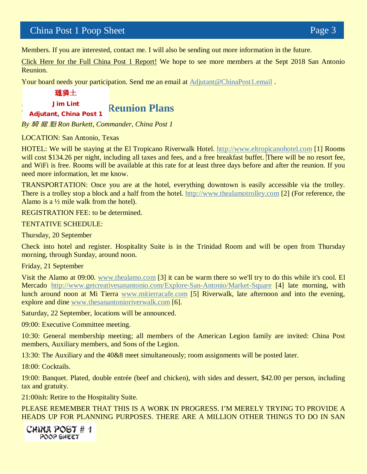# China Post 1 Poop Sheet Page 3

Members. If you are interested, contact me. I will also be sending out more information in the future.

[Click Here for the Full China Post 1](http://chinapost1.us13.list-manage.com/track/click?u=1955c75e918ad22414638d6ba&id=d3bb968d4b&e=61577801f0) Report! We hope to see more members at the Sept 2018 San Antonio Reunion.

Your board needs your participation. Send me an email at **Adjutant@ChinaPost1.email**.

璡獜土

Jim Lint Adjutant, China Post 1

**Reunion Plans** 

*By* 騎 龍 魁 *Ron Burkett, Commander, China Post 1*

LOCATION: San Antonio, Texas

HOTEL: We will be staying at the El Tropicano Riverwalk Hotel. [http://www.eltropicanohotel.com](http://www.eltropicanohotel.com/) [1] Rooms will cost \$134.26 per night, including all taxes and fees, and a free breakfast buffet. There will be no resort fee, and WiFi is free. Rooms will be available at this rate for at least three days before and after the reunion. If you need more information, let me know.

TRANSPORTATION: Once you are at the hotel, everything downtown is easily accessible via the trolley. There is a trolley stop a block and a half from the hotel. [http://www.thealamotrolley.com](http://www.thealamotrolley.com/) [2] (For reference, the Alamo is a  $\frac{1}{2}$  mile walk from the hotel).

REGISTRATION FEE: to be determined.

TENTATIVE SCHEDULE:

Thursday, 20 September

Check into hotel and register. Hospitality Suite is in the Trinidad Room and will be open from Thursday morning, through Sunday, around noon.

Friday, 21 September

Visit the Alamo at 09:00. [www.thealamo.com](http://www.thealamo.com/) [3] it can be warm there so we'll try to do this while it's cool. El Mercado <http://www.getcreativesanantonio.com/Explore-San-Antonio/Market-Square> [4] late morning, with lunch around noon at Mi Tierra [www.mitierracafe.com](http://www.mitierracafe.com/) [5] Riverwalk, late afternoon and into the evening, explore and dine [www.thesanantonioriverwalk.com](http://www.thesanantonioriverwalk.com/) [6].

Saturday, 22 September, locations will be announced.

09:00: Executive Committee meeting.

10:30: General membership meeting; all members of the American Legion family are invited: China Post members, Auxiliary members, and Sons of the Legion.

13:30: The Auxiliary and the 40&8 meet simultaneously; room assignments will be posted later.

18:00: Cocktails.

19:00: Banquet. Plated, double entrée (beef and chicken), with sides and dessert, \$42.00 per person, including tax and gratuity.

21:00ish: Retire to the Hospitality Suite.

PLEASE REMEMBER THAT THIS IS A WORK IN PROGRESS. I'M MERELY TRYING TO PROVIDE A HEADS UP FOR PLANNING PURPOSES. THERE ARE A MILLION OTHER THINGS TO DO IN SAN

CHINA POST # 1 POOP SHEET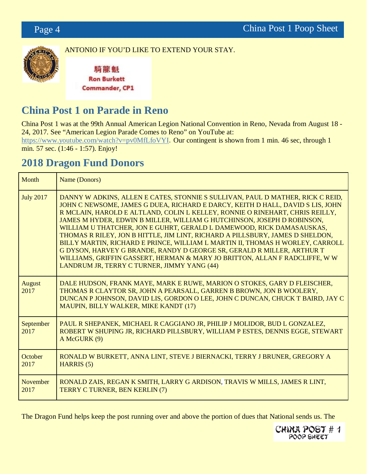

ANTONIO IF YOU'D LIKE TO EXTEND YOUR STAY.

騎龍魁 **Ron Burkett Commander, CP1** 

# **China Post 1 on Parade in Reno**

China Post 1 was at the 99th Annual American Legion National Convention in Reno, Nevada from August 18 - 24, 2017. See "American Legion Parade Comes to Reno" on YouTube at[:](https://www.youtube.com/watch?v=pv0MfLfoVYI) <https://www.youtube.com/watch?v=pv0MfLfoVYI>. Our contingent is shown from 1 min. 46 sec, through 1 min. 57 sec. (1:46 - 1:57). Enjoy!

# **2018 Dragon Fund Donors**

| Month                 | Name (Donors)                                                                                                                                                                                                                                                                                                                                                                                                                                                                                                                                                                                                                                                                                                                                                                  |
|-----------------------|--------------------------------------------------------------------------------------------------------------------------------------------------------------------------------------------------------------------------------------------------------------------------------------------------------------------------------------------------------------------------------------------------------------------------------------------------------------------------------------------------------------------------------------------------------------------------------------------------------------------------------------------------------------------------------------------------------------------------------------------------------------------------------|
| <b>July 2017</b>      | DANNY W ADKINS, ALLEN E CATES, STONNIE S SULLIVAN, PAUL D MATHER, RICK C REID,<br>JOHN C NEWSOME, JAMES G DUEA, RICHARD E DARCY, KEITH D HALL, DAVID S LIS, JOHN<br>R MCLAIN, HAROLD E ALTLAND, COLIN L KELLEY, RONNIE O RINEHART, CHRIS REILLY,<br>JAMES M HYDER, EDWIN B MILLER, WILLIAM G HUTCHINSON, JOSEPH D ROBINSON,<br>WILLIAM U THATCHER, JON E GUHRT, GERALD L DAMEWOOD, RICK DAMASAUSKAS,<br>THOMAS R RILEY, JON B HITTLE, JIM LINT, RICHARD A PILLSBURY, JAMES D SHELDON,<br>BILLY MARTIN, RICHARD E PRINCE, WILLIAM L MARTIN II, THOMAS H WORLEY, CARROLL<br>G DYSON, HARVEY G BRANDE, RANDY D GEORGE SR, GERALD R MILLER, ARTHUR T<br>WILLIAMS, GRIFFIN GASSERT, HERMAN & MARY JO BRITTON, ALLAN F RADCLIFFE, W W<br>LANDRUM JR, TERRY C TURNER, JIMMY YANG (44) |
| <b>August</b><br>2017 | DALE HUDSON, FRANK MAYE, MARK E RUWE, MARION O STOKES, GARY D FLEISCHER,<br>THOMAS R CLAYTOR SR, JOHN A PEARSALL, GARREN B BROWN, JON B WOOLERY,<br>DUNCAN P JOHNSON, DAVID LIS, GORDON O LEE, JOHN C DUNCAN, CHUCK T BAIRD, JAY C<br>MAUPIN, BILLY WALKER, MIKE KANDT (17)                                                                                                                                                                                                                                                                                                                                                                                                                                                                                                    |
| September<br>2017     | PAUL R SHEPANEK, MICHAEL R CAGGIANO JR, PHILIP J MOLIDOR, BUD L GONZALEZ,<br>ROBERT W SHUPING JR, RICHARD PILLSBURY, WILLIAM P ESTES, DENNIS EGGE, STEWART<br>A McGURK (9)                                                                                                                                                                                                                                                                                                                                                                                                                                                                                                                                                                                                     |
| October<br>2017       | RONALD W BURKETT, ANNA LINT, STEVE J BIERNACKI, TERRY J BRUNER, GREGORY A<br><b>HARRIS</b> (5)                                                                                                                                                                                                                                                                                                                                                                                                                                                                                                                                                                                                                                                                                 |
| November<br>2017      | RONALD ZAIS, REGAN K SMITH, LARRY G ARDISON, TRAVIS W MILLS, JAMES R LINT,<br>TERRY C TURNER, BEN KERLIN (7)                                                                                                                                                                                                                                                                                                                                                                                                                                                                                                                                                                                                                                                                   |

The Dragon Fund helps keep the post running over and above the portion of dues that National sends us. The

CHINA POST # 1<br>POOP SHEET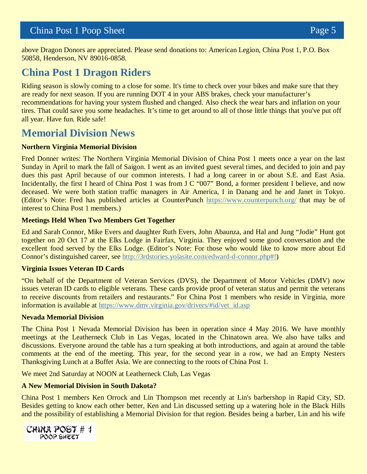above Dragon Donors are appreciated. Please send donations to: American Legion, China Post 1, P.O. Box 50858, Henderson, NV 89016-0858.

# **China Post 1 Dragon Riders**

Riding season is slowly coming to a close for some. It's time to check over your bikes and make sure that they are ready for next season. If you are running DOT 4 in your ABS brakes, check your manufacturer's recommendations for having your system flushed and changed. Also check the wear bars and inflation on your tires. That could save you some headaches. It's time to get around to all of those little things that you've put off all year. Have fun. Ride safe!

# **Memorial Division News**

## **Northern Virginia Memorial Division**

Fred Donner writes: The Northern Virginia Memorial Division of China Post 1 meets once a year on the last Sunday in April to mark the fall of Saigon. I went as an invited guest several times, and decided to join and pay dues this past April because of our common interests. I had a long career in or about S.E. and East Asia. Incidentally, the first I heard of China Post 1 was from J C "007" Bond, a former president I believe, and now deceased. We were both station traffic managers in Air America, I in Danang and he and Janet in Tokyo. (Editor's Note: Fred has published articles at CounterPunch<https://www.counterpunch.org/> that may be of interest to China Post 1 members.)

# **Meetings Held When Two Members Get Together**

Ed and Sarah Connor, Mike Evers and daughter Ruth Evers, John Abaunza, and Hal and Jung "Jodie" Hunt got together on 20 Oct 17 at the Elks Lodge in Fairfax, Virginia. They enjoyed some good conversation and the excellent food served by the Elks Lodge. (Editor's Note: For those who would like to know more about Ed Connor's distinguished career, see [http://3rdstories.yolasite.com/edward-d-connor.php#!](http://3rdstories.yolasite.com/edward-d-connor.php))

# **Virginia Issues Veteran ID Cards**

"On behalf of the Department of Veteran Services (DVS), the Department of Motor Vehicles (DMV) now issues veteran ID cards to eligible veterans. These cards provide proof of veteran status and permit the veterans to receive discounts from retailers and restaurants." For China Post 1 members who reside in Virginia, more information is available at [https://www.dmv.virginia.gov/drivers/#id/vet\\_id.asp](https://www.dmv.virginia.gov/drivers/#id/vet_id.asp)

## **Nevada Memorial Division**

The China Post 1 Nevada Memorial Division has been in operation since 4 May 2016. We have monthly meetings at the Leatherneck Club in Las Vegas, located in the Chinatown area. We also have talks and discussions. Everyone around the table has a turn speaking at both introductions, and again at around the table comments at the end of the meeting. This year, for the second year in a row, we had an Empty Nesters Thanksgiving Lunch at a Buffet Asia. We are connecting to the roots of China Post 1.

We meet 2nd Saturday at NOON at Leatherneck Club, Las Vegas

# **A New Memorial Division in South Dakota?**

China Post 1 members Ken Orrock and Lin Thompson met recently at Lin's barbershop in Rapid City, SD. Besides getting to know each other better, Ken and Lin discussed setting up a watering hole in the Black Hills and the possibility of establishing a Memorial Division for that region. Besides being a barber, Lin and his wife

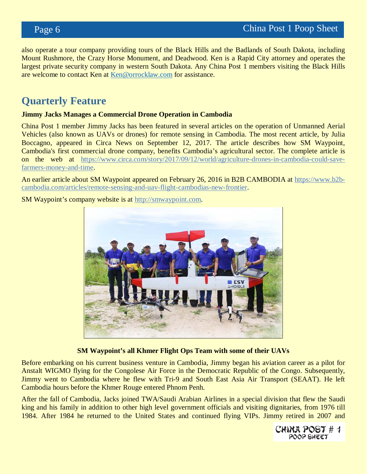also operate a tour company providing tours of the Black Hills and the Badlands of South Dakota, including Mount Rushmore, the Crazy Horse Monument, and Deadwood. Ken is a Rapid City attorney and operates the largest private security company in western South Dakota. Any China Post 1 members visiting the Black Hills are welcome to contact Ken at [Ken@orrocklaw.com](mailto:Ken@orrocklaw.com) for assistance.

# **Quarterly Feature**

#### **Jimmy Jacks Manages a Commercial Drone Operation in Cambodia**

China Post 1 member Jimmy Jacks has been featured in several articles on the operation of Unmanned Aerial Vehicles (also known as UAVs or drones) for remote sensing in Cambodia. The most recent article, by Julia Boccagno, appeared in Circa News on September 12, 2017. The article describes how SM Waypoint, Cambodia's first commercial drone company, benefits Cambodia's agricultural sector. The complete article is on the web at [https://www.circa.com/story/2017/09/12/world/agriculture-drones-in-cambodia-could-save](https://www.circa.com/story/2017/09/12/world/agriculture-drones-in-cambodia-could-save-farmers-money-and-time)[farmers-money-and-time.](https://www.circa.com/story/2017/09/12/world/agriculture-drones-in-cambodia-could-save-farmers-money-and-time)

An earlier article about SM Waypoint appeared on February 26, 2016 in B2B CAMBODIA at [https://www.b2b](https://www.b2b-cambodia.com/articles/remote-sensing-and-uav-flight-cambodias-new-frontier)[cambodia.com/articles/remote-sensing-and-uav-flight-cambodias-new-frontier.](https://www.b2b-cambodia.com/articles/remote-sensing-and-uav-flight-cambodias-new-frontier)

SM Waypoint's company website is a[t](http://smwaypoint.com/) [http://smwaypoint.com.](http://smwaypoint.com/)



**SM Waypoint's all Khmer Flight Ops Team with some of their UAVs**

Before embarking on his current business venture in Cambodia, Jimmy began his aviation career as a pilot for Anstalt WIGMO flying for the Congolese Air Force in the Democratic Republic of the Congo. Subsequently, Jimmy went to Cambodia where he flew with Tri-9 and South East Asia Air Transport (SEAAT). He left Cambodia hours before the Khmer Rouge entered Phnom Penh.

After the fall of Cambodia, Jacks joined TWA/Saudi Arabian Airlines in a special division that flew the Saudi king and his family in addition to other high level government officials and visiting dignitaries, from 1976 till 1984. After 1984 he returned to the United States and continued flying VIPs. Jimmy retired in 2007 and

> CHINA POST # 1 POOP SHEET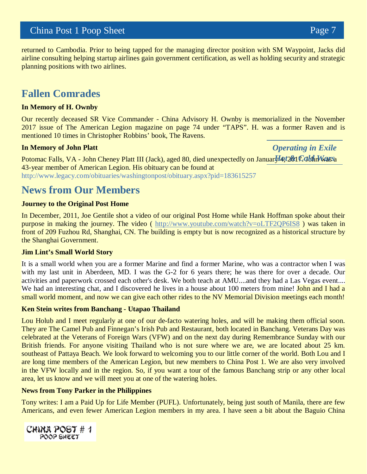# China Post 1 Poop Sheet Page 7

returned to Cambodia. Prior to being tapped for the managing director position with SM Waypoint, Jacks did airline consulting helping startup airlines gain government certification, as well as holding security and strategic planning positions with two airlines.

# **Fallen Comrades**

#### **In Memory of H. Ownby**

Our recently deceased SR Vice Commander - China Advisory H. Ownby is memorialized in the November 2017 issue of The American Legion magazine on page 74 under "TAPS". H. was a former Raven and is mentioned 10 times in Christopher Robbins' book, The Ravens.

#### **In Memory of John Platt**

Potomac Falls, VA - John Cheney Platt III (Jack), aged 80, died unexpectedly on Januar *H*Q t261 C John Wassa 43-year member of American Legion. His obituary can be found at <http://www.legacy.com/obituaries/washingtonpost/obituary.aspx?pid=183615257>

# **News from Our Members**

#### **Journey to the Original Post Home**

In December, 2011, Joe Gentile shot a video of our original Post Home while Hank Hoffman spoke about their purpose in making the journey. The video ( <http://www.youtube.com/watch?v=oLTF2QP6IS8> ) was taken in front of 209 Fuzhou Rd, Shanghai, CN. The building is empty but is now recognized as a historical structure by the Shanghai Government.

#### **Jim Lint's Small World Story**

It is a small world when you are a former Marine and find a former Marine, who was a contractor when I was with my last unit in Aberdeen, MD. I was the G-2 for 6 years there; he was there for over a decade. Our activities and paperwork crossed each other's desk. We both teach at AMU....and they had a Las Vegas event... We had an interesting chat, and I discovered he lives in a house about 100 meters from mine! John and I had a small world moment, and now we can give each other rides to the NV Memorial Division meetings each month!

#### **Ken Stein writes from Banchang - Utapao Thailand**

Lou Holub and I meet regularly at one of our de-facto watering holes, and will be making them official soon. They are The Camel Pub and Finnegan's Irish Pub and Restaurant, both located in Banchang. Veterans Day was celebrated at the Veterans of Foreign Wars (VFW) and on the next day during Remembrance Sunday with our British friends. For anyone visiting Thailand who is not sure where we are, we are located about 25 km. southeast of Pattaya Beach. We look forward to welcoming you to our little corner of the world. Both Lou and I are long time members of the American Legion, but new members to China Post 1. We are also very involved in the VFW locally and in the region. So, if you want a tour of the famous Banchang strip or any other local area, let us know and we will meet you at one of the watering holes.

#### **News from Tony Parker in the Philippines**

Tony writes: I am a Paid Up for Life Member (PUFL). Unfortunately, being just south of Manila, there are few Americans, and even fewer American Legion members in my area. I have seen a bit about the Baguio China



*Operating in Exile*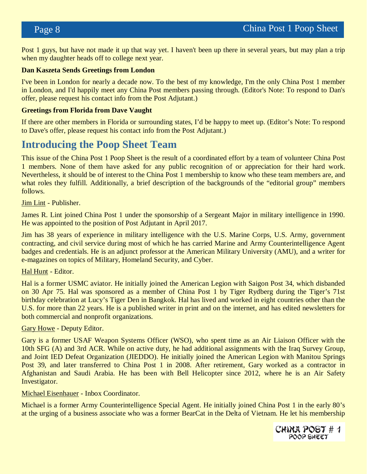Post 1 guys, but have not made it up that way yet. I haven't been up there in several years, but may plan a trip when my daughter heads off to college next year.

#### **Dan Kaszeta Sends Greetings from London**

I've been in London for nearly a decade now. To the best of my knowledge, I'm the only China Post 1 member in London, and I'd happily meet any China Post members passing through. (Editor's Note: To respond to Dan's offer, please request his contact info from the Post Adjutant.)

### **Greetings from Florida from Dave Vaught**

If there are other members in Florida or surrounding states, I'd be happy to meet up. (Editor's Note: To respond to Dave's offer, please request his contact info from the Post Adjutant.)

# **Introducing the Poop Sheet Team**

This issue of the China Post 1 Poop Sheet is the result of a coordinated effort by a team of volunteer China Post 1 members. None of them have asked for any public recognition of or appreciation for their hard work. Nevertheless, it should be of interest to the China Post 1 membership to know who these team members are, and what roles they fulfill. Additionally, a brief description of the backgrounds of the "editorial group" members follows.

Jim Lint - Publisher.

James R. Lint joined China Post 1 under the sponsorship of a Sergeant Major in military intelligence in 1990. He was appointed to the position of Post Adjutant in April 2017.

Jim has 38 years of experience in military intelligence with the U.S. Marine Corps, U.S. Army, government contracting, and civil service during most of which he has carried Marine and Army Counterintelligence Agent badges and credentials. He is an adjunct professor at the American Military University (AMU), and a writer for e-magazines on topics of Military, Homeland Security, and Cyber.

## Hal Hunt - Editor.

Hal is a former USMC aviator. He initially joined the American Legion with Saigon Post 34, which disbanded on 30 Apr 75. Hal was sponsored as a member of China Post 1 by Tiger Rydberg during the Tiger's 71st birthday celebration at Lucy's Tiger Den in Bangkok. Hal has lived and worked in eight countries other than the U.S. for more than 22 years. He is a published writer in print and on the internet, and has edited newsletters for both commercial and nonprofit organizations.

#### Gary Howe - Deputy Editor.

Gary is a former USAF Weapon Systems Officer (WSO), who spent time as an Air Liaison Officer with the 10th SFG (A) and 3rd ACR. While on active duty, he had additional assignments with the Iraq Survey Group, and Joint IED Defeat Organization (JIEDDO). He initially joined the American Legion with Manitou Springs Post 39, and later transferred to China Post 1 in 2008. After retirement, Gary worked as a contractor in Afghanistan and Saudi Arabia. He has been with Bell Helicopter since 2012, where he is an Air Safety Investigator.

#### Michael Eisenhauer - Inbox Coordinator.

Michael is a former Army Counterintelligence Special Agent. He initially joined China Post 1 in the early 80's at the urging of a business associate who was a former BearCat in the Delta of Vietnam. He let his membership

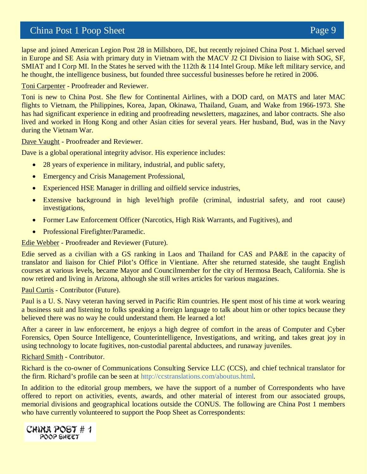# China Post 1 Poop Sheet Page 9

lapse and joined American Legion Post 28 in Millsboro, DE, but recently rejoined China Post 1. Michael served in Europe and SE Asia with primary duty in Vietnam with the MACV J2 CI Division to liaise with SOG, SF, SMIAT and I Corp MI. In the States he served with the 112th & 114 Intel Group. Mike left military service, and he thought, the intelligence business, but founded three successful businesses before he retired in 2006.

Toni Carpenter - Proofreader and Reviewer.

Toni is new to China Post. She flew for Continental Airlines, with a DOD card, on MATS and later MAC flights to Vietnam, the Philippines, Korea, Japan, Okinawa, Thailand, Guam, and Wake from 1966-1973. She has had significant experience in editing and proofreading newsletters, magazines, and labor contracts. She also lived and worked in Hong Kong and other Asian cities for several years. Her husband, Bud, was in the Navy during the Vietnam War.

Dave Vaught - Proofreader and Reviewer.

Dave is a global operational integrity advisor. His experience includes:

- 28 years of experience in military, industrial, and public safety,
- Emergency and Crisis Management Professional,
- Experienced HSE Manager in drilling and oilfield service industries,
- Extensive background in high level/high profile (criminal, industrial safety, and root cause) investigations,
- Former Law Enforcement Officer (Narcotics, High Risk Warrants, and Fugitives), and
- Professional Firefighter/Paramedic.

Edie Webber - Proofreader and Reviewer (Future).

Edie served as a civilian with a GS ranking in Laos and Thailand for CAS and PA&E in the capacity of translator and liaison for Chief Pilot's Office in Vientiane. After she returned stateside, she taught English courses at various levels, became Mayor and Councilmember for the city of Hermosa Beach, California. She is now retired and living in Arizona, although she still writes articles for various magazines.

#### Paul Curtis - Contributor (Future).

Paul is a U. S. Navy veteran having served in Pacific Rim countries. He spent most of his time at work wearing a business suit and listening to folks speaking a foreign language to talk about him or other topics because they believed there was no way he could understand them. He learned a lot!

After a career in law enforcement, he enjoys a high degree of comfort in the areas of Computer and Cyber Forensics, Open Source Intelligence, Counterintelligence, Investigations, and writing, and takes great joy in using technology to locate fugitives, non-custodial parental abductees, and runaway juveniles.

#### Richard Smith - Contributor.

Richard is the co-owner of Communications Consulting Service LLC (CCS), and chief technical translator for the firm. Richard's profile can be seen at http://ccstranslations.com/aboutus.html.

In addition to the editorial group members, we have the support of a number of Correspondents who have offered to report on activities, events, awards, and other material of interest from our associated groups, memorial divisions and geographical locations outside the CONUS. The following are China Post 1 members who have currently volunteered to support the Poop Sheet as Correspondents:

CHINA POST # 1 POOP SHEET